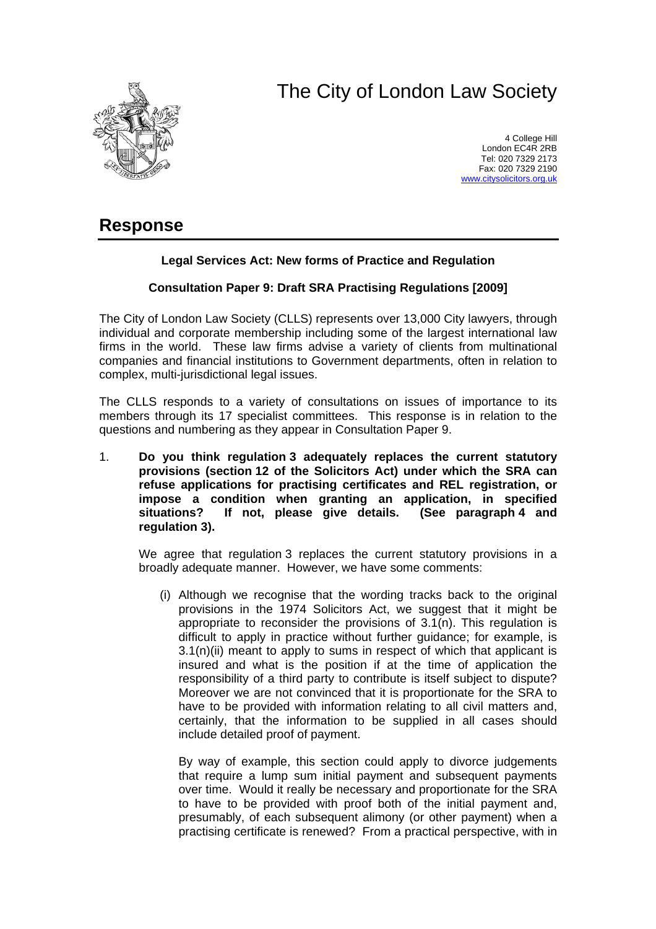# The City of London Law Society



4 College Hill London EC4R 2RB Tel: 020 7329 2173 Fax: 020 7329 2190 [www.citysolicitors.org.uk](http://www.citysolicitors.org.uk/)

# **Response**

## **Legal Services Act: New forms of Practice and Regulation**

### **Consultation Paper 9: Draft SRA Practising Regulations [2009]**

The City of London Law Society (CLLS) represents over 13,000 City lawyers, through individual and corporate membership including some of the largest international law firms in the world. These law firms advise a variety of clients from multinational companies and financial institutions to Government departments, often in relation to complex, multi-jurisdictional legal issues.

The CLLS responds to a variety of consultations on issues of importance to its members through its 17 specialist committees. This response is in relation to the questions and numbering as they appear in Consultation Paper 9.

1. **Do you think regulation 3 adequately replaces the current statutory provisions (section 12 of the Solicitors Act) under which the SRA can refuse applications for practising certificates and REL registration, or impose a condition when granting an application, in specified situations? If not, please give details. (See paragraph 4 and regulation 3).** 

We agree that regulation 3 replaces the current statutory provisions in a broadly adequate manner. However, we have some comments:

(i) Although we recognise that the wording tracks back to the original provisions in the 1974 Solicitors Act, we suggest that it might be appropriate to reconsider the provisions of  $3.1(n)$ . This regulation is difficult to apply in practice without further guidance; for example, is 3.1(n)(ii) meant to apply to sums in respect of which that applicant is insured and what is the position if at the time of application the responsibility of a third party to contribute is itself subject to dispute? Moreover we are not convinced that it is proportionate for the SRA to have to be provided with information relating to all civil matters and, certainly, that the information to be supplied in all cases should include detailed proof of payment.

By way of example, this section could apply to divorce judgements that require a lump sum initial payment and subsequent payments over time. Would it really be necessary and proportionate for the SRA to have to be provided with proof both of the initial payment and, presumably, of each subsequent alimony (or other payment) when a practising certificate is renewed? From a practical perspective, with in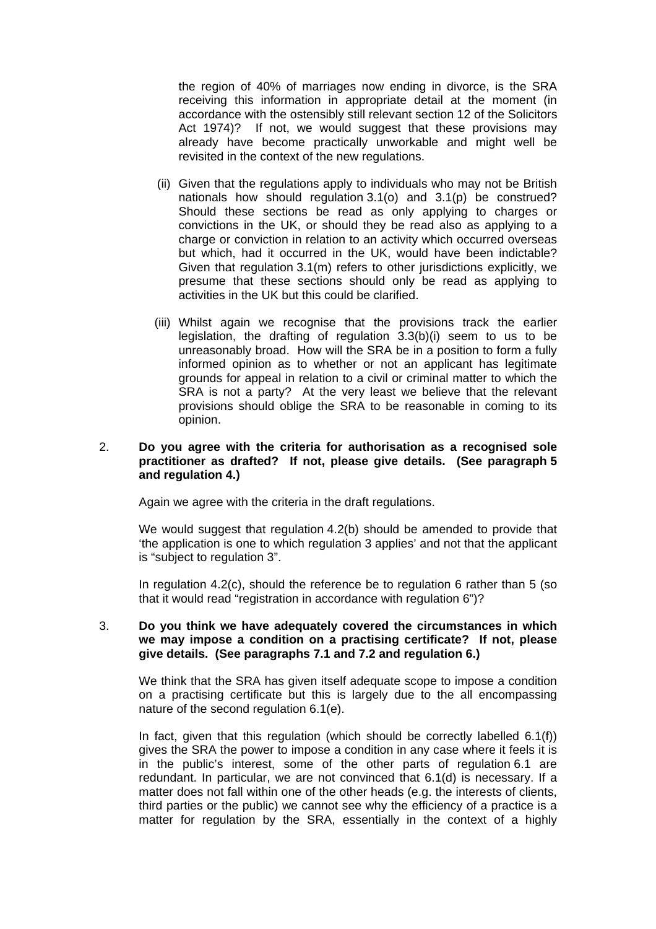the region of 40% of marriages now ending in divorce, is the SRA receiving this information in appropriate detail at the moment (in accordance with the ostensibly still relevant section 12 of the Solicitors Act 1974)? If not, we would suggest that these provisions may already have become practically unworkable and might well be revisited in the context of the new regulations.

- (ii) Given that the regulations apply to individuals who may not be British nationals how should regulation 3.1(o) and 3.1(p) be construed? Should these sections be read as only applying to charges or convictions in the UK, or should they be read also as applying to a charge or conviction in relation to an activity which occurred overseas but which, had it occurred in the UK, would have been indictable? Given that regulation 3.1(m) refers to other jurisdictions explicitly, we presume that these sections should only be read as applying to activities in the UK but this could be clarified.
- (iii) Whilst again we recognise that the provisions track the earlier legislation, the drafting of regulation 3.3(b)(i) seem to us to be unreasonably broad. How will the SRA be in a position to form a fully informed opinion as to whether or not an applicant has legitimate grounds for appeal in relation to a civil or criminal matter to which the SRA is not a party? At the very least we believe that the relevant provisions should oblige the SRA to be reasonable in coming to its opinion.

#### 2. **Do you agree with the criteria for authorisation as a recognised sole practitioner as drafted? If not, please give details. (See paragraph 5 and regulation 4.)**

Again we agree with the criteria in the draft regulations.

We would suggest that regulation 4.2(b) should be amended to provide that 'the application is one to which regulation 3 applies' and not that the applicant is "subject to regulation 3".

In regulation 4.2(c), should the reference be to regulation 6 rather than 5 (so that it would read "registration in accordance with regulation 6")?

#### 3. **Do you think we have adequately covered the circumstances in which we may impose a condition on a practising certificate? If not, please give details. (See paragraphs 7.1 and 7.2 and regulation 6.)**

We think that the SRA has given itself adequate scope to impose a condition on a practising certificate but this is largely due to the all encompassing nature of the second regulation 6.1(e).

In fact, given that this regulation (which should be correctly labelled  $6.1(f)$ ) gives the SRA the power to impose a condition in any case where it feels it is in the public's interest, some of the other parts of regulation 6.1 are redundant. In particular, we are not convinced that 6.1(d) is necessary. If a matter does not fall within one of the other heads (e.g. the interests of clients, third parties or the public) we cannot see why the efficiency of a practice is a matter for regulation by the SRA, essentially in the context of a highly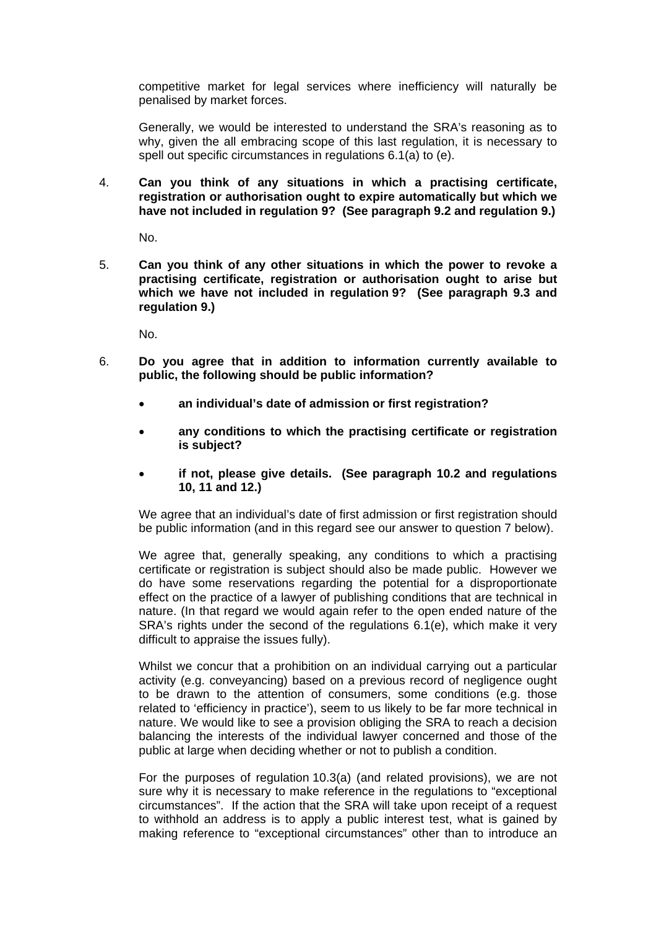competitive market for legal services where inefficiency will naturally be penalised by market forces.

Generally, we would be interested to understand the SRA's reasoning as to why, given the all embracing scope of this last regulation, it is necessary to spell out specific circumstances in regulations 6.1(a) to (e).

4. **Can you think of any situations in which a practising certificate, registration or authorisation ought to expire automatically but which we have not included in regulation 9? (See paragraph 9.2 and regulation 9.)** 

No.

5. **Can you think of any other situations in which the power to revoke a practising certificate, registration or authorisation ought to arise but which we have not included in regulation 9? (See paragraph 9.3 and regulation 9.)** 

No.

- 6. **Do you agree that in addition to information currently available to public, the following should be public information?** 
	- **an individual's date of admission or first registration?**
	- **any conditions to which the practising certificate or registration is subject?**
	- **if not, please give details. (See paragraph 10.2 and regulations 10, 11 and 12.)**

We agree that an individual's date of first admission or first registration should be public information (and in this regard see our answer to question 7 below).

We agree that, generally speaking, any conditions to which a practising certificate or registration is subject should also be made public. However we do have some reservations regarding the potential for a disproportionate effect on the practice of a lawyer of publishing conditions that are technical in nature. (In that regard we would again refer to the open ended nature of the SRA's rights under the second of the regulations 6.1(e), which make it very difficult to appraise the issues fully).

Whilst we concur that a prohibition on an individual carrying out a particular activity (e.g. conveyancing) based on a previous record of negligence ought to be drawn to the attention of consumers, some conditions (e.g. those related to 'efficiency in practice'), seem to us likely to be far more technical in nature. We would like to see a provision obliging the SRA to reach a decision balancing the interests of the individual lawyer concerned and those of the public at large when deciding whether or not to publish a condition.

For the purposes of regulation 10.3(a) (and related provisions), we are not sure why it is necessary to make reference in the regulations to "exceptional circumstances". If the action that the SRA will take upon receipt of a request to withhold an address is to apply a public interest test, what is gained by making reference to "exceptional circumstances" other than to introduce an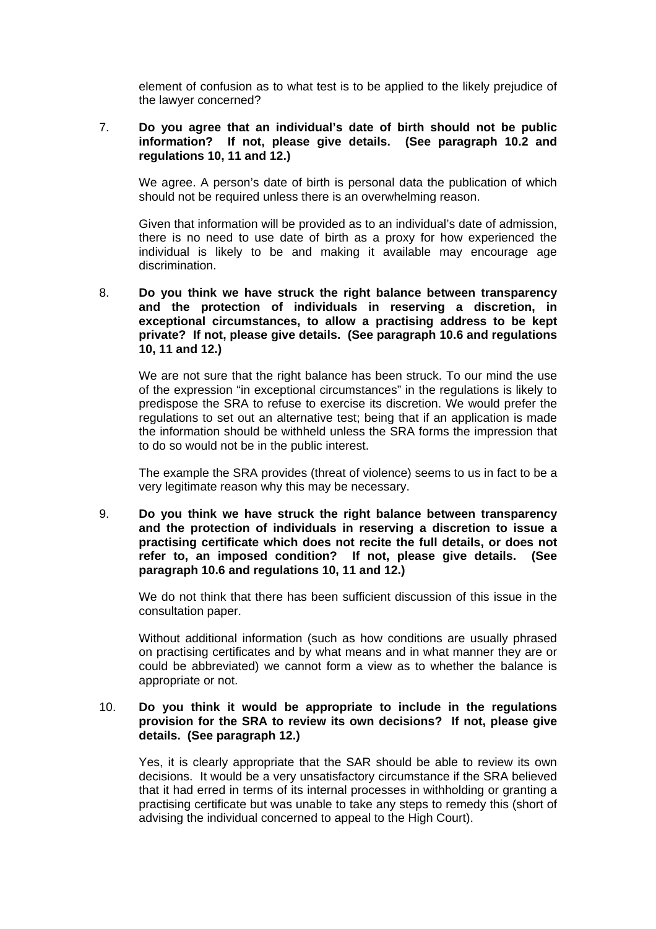element of confusion as to what test is to be applied to the likely prejudice of the lawyer concerned?

#### 7. **Do you agree that an individual's date of birth should not be public information? If not, please give details. (See paragraph 10.2 and regulations 10, 11 and 12.)**

We agree. A person's date of birth is personal data the publication of which should not be required unless there is an overwhelming reason.

Given that information will be provided as to an individual's date of admission, there is no need to use date of birth as a proxy for how experienced the individual is likely to be and making it available may encourage age discrimination.

8. **Do you think we have struck the right balance between transparency and the protection of individuals in reserving a discretion, in exceptional circumstances, to allow a practising address to be kept private? If not, please give details. (See paragraph 10.6 and regulations 10, 11 and 12.)** 

We are not sure that the right balance has been struck. To our mind the use of the expression "in exceptional circumstances" in the regulations is likely to predispose the SRA to refuse to exercise its discretion. We would prefer the regulations to set out an alternative test; being that if an application is made the information should be withheld unless the SRA forms the impression that to do so would not be in the public interest.

The example the SRA provides (threat of violence) seems to us in fact to be a very legitimate reason why this may be necessary.

9. **Do you think we have struck the right balance between transparency and the protection of individuals in reserving a discretion to issue a practising certificate which does not recite the full details, or does not refer to, an imposed condition? If not, please give details. (See paragraph 10.6 and regulations 10, 11 and 12.)** 

We do not think that there has been sufficient discussion of this issue in the consultation paper.

Without additional information (such as how conditions are usually phrased on practising certificates and by what means and in what manner they are or could be abbreviated) we cannot form a view as to whether the balance is appropriate or not.

#### 10. **Do you think it would be appropriate to include in the regulations provision for the SRA to review its own decisions? If not, please give details. (See paragraph 12.)**

Yes, it is clearly appropriate that the SAR should be able to review its own decisions. It would be a very unsatisfactory circumstance if the SRA believed that it had erred in terms of its internal processes in withholding or granting a practising certificate but was unable to take any steps to remedy this (short of advising the individual concerned to appeal to the High Court).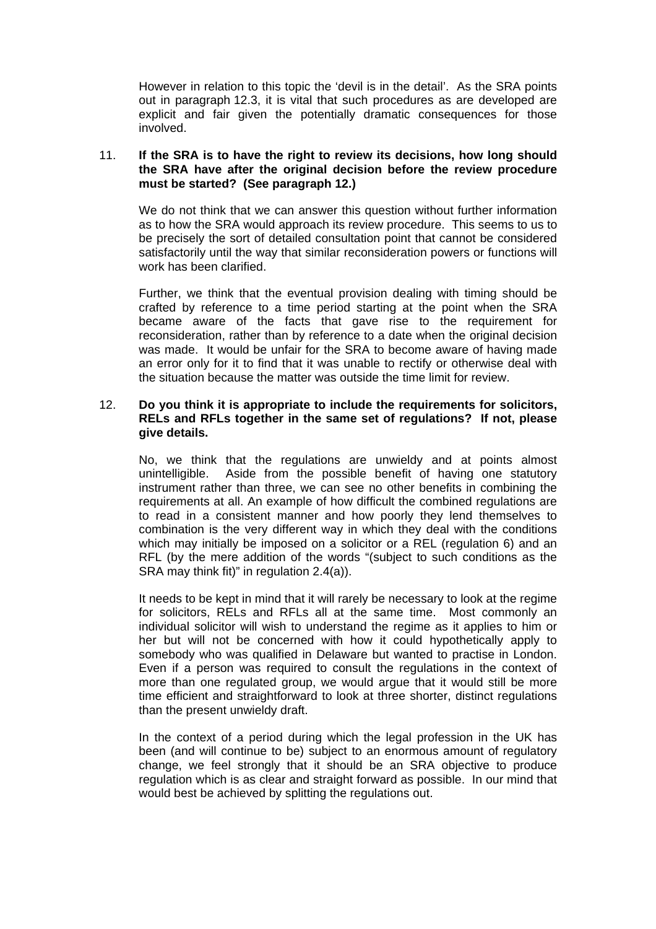However in relation to this topic the 'devil is in the detail'. As the SRA points out in paragraph 12.3, it is vital that such procedures as are developed are explicit and fair given the potentially dramatic consequences for those involved.

#### 11. **If the SRA is to have the right to review its decisions, how long should the SRA have after the original decision before the review procedure must be started? (See paragraph 12.)**

We do not think that we can answer this question without further information as to how the SRA would approach its review procedure. This seems to us to be precisely the sort of detailed consultation point that cannot be considered satisfactorily until the way that similar reconsideration powers or functions will work has been clarified.

Further, we think that the eventual provision dealing with timing should be crafted by reference to a time period starting at the point when the SRA became aware of the facts that gave rise to the requirement for reconsideration, rather than by reference to a date when the original decision was made. It would be unfair for the SRA to become aware of having made an error only for it to find that it was unable to rectify or otherwise deal with the situation because the matter was outside the time limit for review.

#### 12. **Do you think it is appropriate to include the requirements for solicitors, RELs and RFLs together in the same set of regulations? If not, please give details.**

No, we think that the regulations are unwieldy and at points almost unintelligible. Aside from the possible benefit of having one statutory instrument rather than three, we can see no other benefits in combining the requirements at all. An example of how difficult the combined regulations are to read in a consistent manner and how poorly they lend themselves to combination is the very different way in which they deal with the conditions which may initially be imposed on a solicitor or a REL (regulation 6) and an RFL (by the mere addition of the words "(subject to such conditions as the SRA may think fit)" in regulation 2.4(a)).

It needs to be kept in mind that it will rarely be necessary to look at the regime for solicitors, RELs and RFLs all at the same time. Most commonly an individual solicitor will wish to understand the regime as it applies to him or her but will not be concerned with how it could hypothetically apply to somebody who was qualified in Delaware but wanted to practise in London. Even if a person was required to consult the regulations in the context of more than one regulated group, we would argue that it would still be more time efficient and straightforward to look at three shorter, distinct regulations than the present unwieldy draft.

In the context of a period during which the legal profession in the UK has been (and will continue to be) subject to an enormous amount of regulatory change, we feel strongly that it should be an SRA objective to produce regulation which is as clear and straight forward as possible. In our mind that would best be achieved by splitting the regulations out.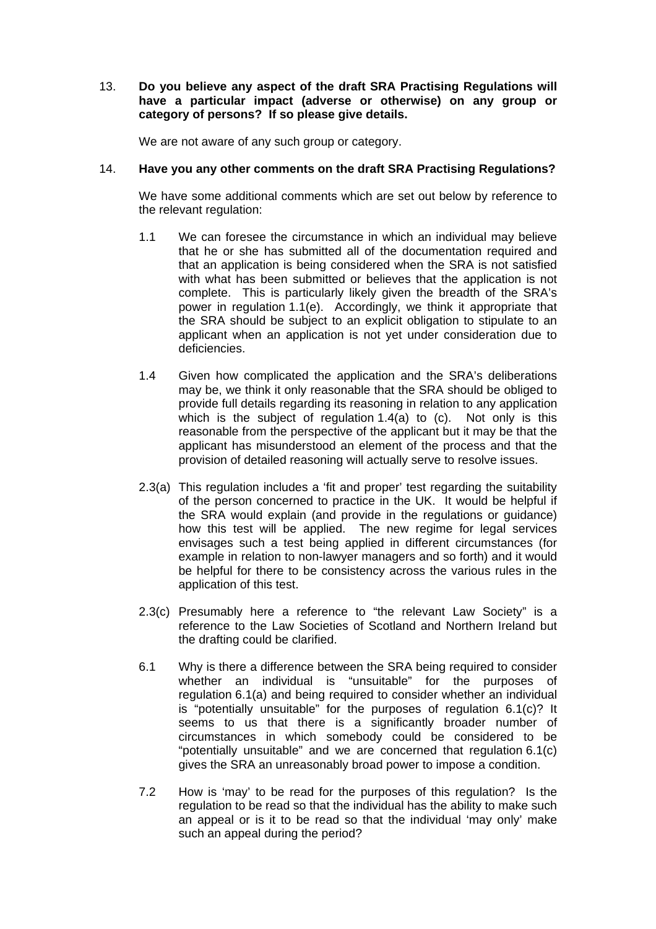#### 13. **Do you believe any aspect of the draft SRA Practising Regulations will have a particular impact (adverse or otherwise) on any group or category of persons? If so please give details.**

We are not aware of any such group or category.

#### 14. **Have you any other comments on the draft SRA Practising Regulations?**

We have some additional comments which are set out below by reference to the relevant regulation:

- 1.1 We can foresee the circumstance in which an individual may believe that he or she has submitted all of the documentation required and that an application is being considered when the SRA is not satisfied with what has been submitted or believes that the application is not complete. This is particularly likely given the breadth of the SRA's power in regulation 1.1(e). Accordingly, we think it appropriate that the SRA should be subject to an explicit obligation to stipulate to an applicant when an application is not yet under consideration due to deficiencies.
- 1.4 Given how complicated the application and the SRA's deliberations may be, we think it only reasonable that the SRA should be obliged to provide full details regarding its reasoning in relation to any application which is the subject of regulation 1.4(a) to (c). Not only is this reasonable from the perspective of the applicant but it may be that the applicant has misunderstood an element of the process and that the provision of detailed reasoning will actually serve to resolve issues.
- 2.3(a) This regulation includes a 'fit and proper' test regarding the suitability of the person concerned to practice in the UK. It would be helpful if the SRA would explain (and provide in the regulations or guidance) how this test will be applied. The new regime for legal services envisages such a test being applied in different circumstances (for example in relation to non-lawyer managers and so forth) and it would be helpful for there to be consistency across the various rules in the application of this test.
- 2.3(c) Presumably here a reference to "the relevant Law Society" is a reference to the Law Societies of Scotland and Northern Ireland but the drafting could be clarified.
- 6.1 Why is there a difference between the SRA being required to consider whether an individual is "unsuitable" for the purposes of regulation 6.1(a) and being required to consider whether an individual is "potentially unsuitable" for the purposes of regulation 6.1(c)? It seems to us that there is a significantly broader number of circumstances in which somebody could be considered to be "potentially unsuitable" and we are concerned that regulation 6.1(c) gives the SRA an unreasonably broad power to impose a condition.
- 7.2 How is 'may' to be read for the purposes of this regulation? Is the regulation to be read so that the individual has the ability to make such an appeal or is it to be read so that the individual 'may only' make such an appeal during the period?